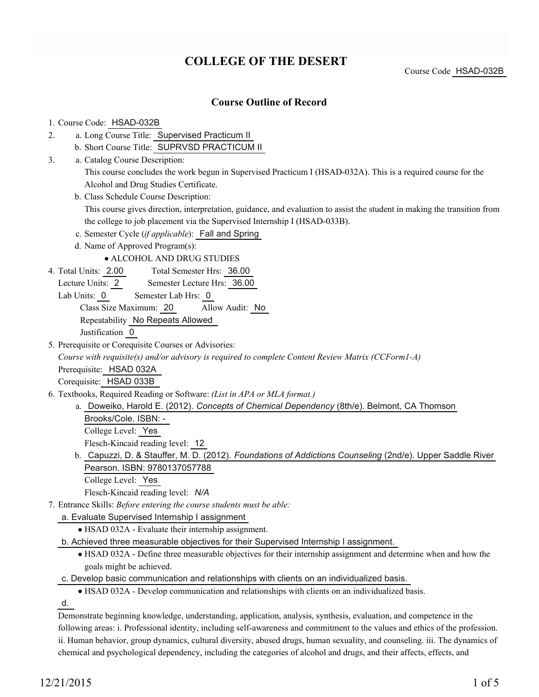# **COLLEGE OF THE DESERT**

Course Code HSAD-032B

## **Course Outline of Record**

#### 1. Course Code: HSAD-032B

- a. Long Course Title: Supervised Practicum II 2.
	- b. Short Course Title: SUPRVSD PRACTICUM II
- Catalog Course Description: a. 3.

This course concludes the work begun in Supervised Practicum I (HSAD-032A). This is a required course for the Alcohol and Drug Studies Certificate.

b. Class Schedule Course Description:

This course gives direction, interpretation, guidance, and evaluation to assist the student in making the transition from the college to job placement via the Supervised Internship I (HSAD-033B).

- c. Semester Cycle (*if applicable*): Fall and Spring
- d. Name of Approved Program(s):
	- ALCOHOL AND DRUG STUDIES
- Total Semester Hrs: 36.00 4. Total Units: 2.00
	- Lecture Units: 2 Semester Lecture Hrs: 36.00
	- Lab Units: 0 Semester Lab Hrs: 0

Class Size Maximum: 20 Allow Audit: No

Repeatability No Repeats Allowed

Justification 0

5. Prerequisite or Corequisite Courses or Advisories: *Course with requisite(s) and/or advisory is required to complete Content Review Matrix (CCForm1-A)* Prerequisite: HSAD 032A

Corequisite: HSAD 033B

- Textbooks, Required Reading or Software: *(List in APA or MLA format.)* 6.
	- a. Doweiko, Harold E. (2012). *Concepts of Chemical Dependency* (8th/e). Belmont, CA Thomson Brooks/Cole. ISBN: - College Level: Yes

Flesch-Kincaid reading level: 12

- b. Capuzzi, D. & Stauffer, M. D. (2012). *Foundations of Addictions Counseling* (2nd/e). Upper Saddle River Pearson. ISBN: 9780137057788
	- College Level: Yes

Flesch-Kincaid reading level: *N/A*

- Entrance Skills: *Before entering the course students must be able:* 7.
	- a. Evaluate Supervised Internship I assignment
		- HSAD 032A Evaluate their internship assignment.
	- b. Achieved three measurable objectives for their Supervised Internship I assignment.
		- HSAD 032A Define three measurable objectives for their internship assignment and determine when and how the goals might be achieved.
	- c. Develop basic communication and relationships with clients on an individualized basis.
		- HSAD 032A Develop communication and relationships with clients on an individualized basis.

d.

Demonstrate beginning knowledge, understanding, application, analysis, synthesis, evaluation, and competence in the following areas: i. Professional identity, including self-awareness and commitment to the values and ethics of the profession. ii. Human behavior, group dynamics, cultural diversity, abused drugs, human sexuality, and counseling. iii. The dynamics of chemical and psychological dependency, including the categories of alcohol and drugs, and their affects, effects, and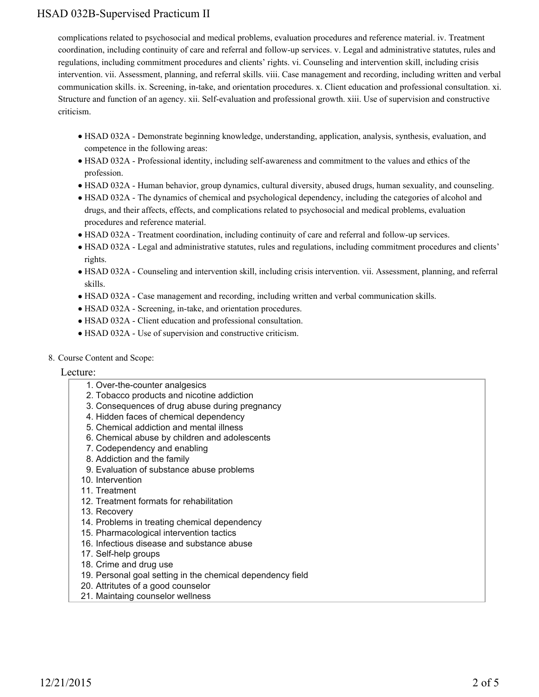complications related to psychosocial and medical problems, evaluation procedures and reference material. iv. Treatment coordination, including continuity of care and referral and follow-up services. v. Legal and administrative statutes, rules and regulations, including commitment procedures and clients' rights. vi. Counseling and intervention skill, including crisis intervention. vii. Assessment, planning, and referral skills. viii. Case management and recording, including written and verbal communication skills. ix. Screening, in-take, and orientation procedures. x. Client education and professional consultation. xi. Structure and function of an agency. xii. Self-evaluation and professional growth. xiii. Use of supervision and constructive criticism.

- HSAD 032A Demonstrate beginning knowledge, understanding, application, analysis, synthesis, evaluation, and competence in the following areas:
- HSAD 032A Professional identity, including self-awareness and commitment to the values and ethics of the profession.
- HSAD 032A Human behavior, group dynamics, cultural diversity, abused drugs, human sexuality, and counseling.
- HSAD 032A The dynamics of chemical and psychological dependency, including the categories of alcohol and drugs, and their affects, effects, and complications related to psychosocial and medical problems, evaluation procedures and reference material.
- HSAD 032A Treatment coordination, including continuity of care and referral and follow-up services.
- HSAD 032A Legal and administrative statutes, rules and regulations, including commitment procedures and clients' rights.
- HSAD 032A Counseling and intervention skill, including crisis intervention. vii. Assessment, planning, and referral skills.
- HSAD 032A Case management and recording, including written and verbal communication skills.
- HSAD 032A Screening, in-take, and orientation procedures.
- HSAD 032A Client education and professional consultation.
- HSAD 032A Use of supervision and constructive criticism.
- 8. Course Content and Scope:

### Lecture:

- 1. Over-the-counter analgesics
- 2. Tobacco products and nicotine addiction
- 3. Consequences of drug abuse during pregnancy
- 4. Hidden faces of chemical dependency
- 5. Chemical addiction and mental illness
- 6. Chemical abuse by children and adolescents
- 7. Codependency and enabling
- 8. Addiction and the family
- 9. Evaluation of substance abuse problems
- 10. Intervention
- 11. Treatment
- 12. Treatment formats for rehabilitation
- 13. Recovery
- 14. Problems in treating chemical dependency
- 15. Pharmacological intervention tactics
- 16. Infectious disease and substance abuse
- 17. Self-help groups
- 18. Crime and drug use
- 19. Personal goal setting in the chemical dependency field
- 20. Attritutes of a good counselor
- 21. Maintaing counselor wellness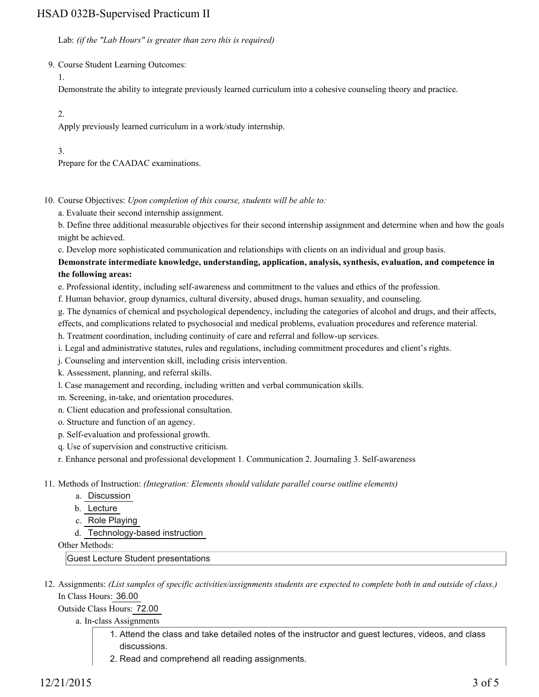Lab: *(if the "Lab Hours" is greater than zero this is required)*

9. Course Student Learning Outcomes:

1.

Demonstrate the ability to integrate previously learned curriculum into a cohesive counseling theory and practice.

2.

Apply previously learned curriculum in a work/study internship.

3.

Prepare for the CAADAC examinations.

10. Course Objectives: Upon completion of this course, students will be able to:

a. Evaluate their second internship assignment.

b. Define three additional measurable objectives for their second internship assignment and determine when and how the goals might be achieved.

c. Develop more sophisticated communication and relationships with clients on an individual and group basis.

**Demonstrate intermediate knowledge, understanding, application, analysis, synthesis, evaluation, and competence in the following areas:**

e. Professional identity, including self-awareness and commitment to the values and ethics of the profession.

f. Human behavior, group dynamics, cultural diversity, abused drugs, human sexuality, and counseling.

g. The dynamics of chemical and psychological dependency, including the categories of alcohol and drugs, and their affects,

effects, and complications related to psychosocial and medical problems, evaluation procedures and reference material.

h. Treatment coordination, including continuity of care and referral and follow-up services.

i. Legal and administrative statutes, rules and regulations, including commitment procedures and client's rights.

j. Counseling and intervention skill, including crisis intervention.

k. Assessment, planning, and referral skills.

l. Case management and recording, including written and verbal communication skills.

m. Screening, in-take, and orientation procedures.

n. Client education and professional consultation.

o. Structure and function of an agency.

p. Self-evaluation and professional growth.

q. Use of supervision and constructive criticism.

r. Enhance personal and professional development 1. Communication 2. Journaling 3. Self-awareness

11. Methods of Instruction: *(Integration: Elements should validate parallel course outline elements)* 

a. Discussion

b. Lecture

c. Role Playing

d. Technology-based instruction

Other Methods:

Guest Lecture Student presentations

12. Assignments: (List samples of specific activities/assignments students are expected to complete both in and outside of class.) In Class Hours: 36.00

Outside Class Hours: 72.00

a. In-class Assignments

- Attend the class and take detailed notes of the instructor and guest lectures, videos, and class 1. discussions.
- 2. Read and comprehend all reading assignments.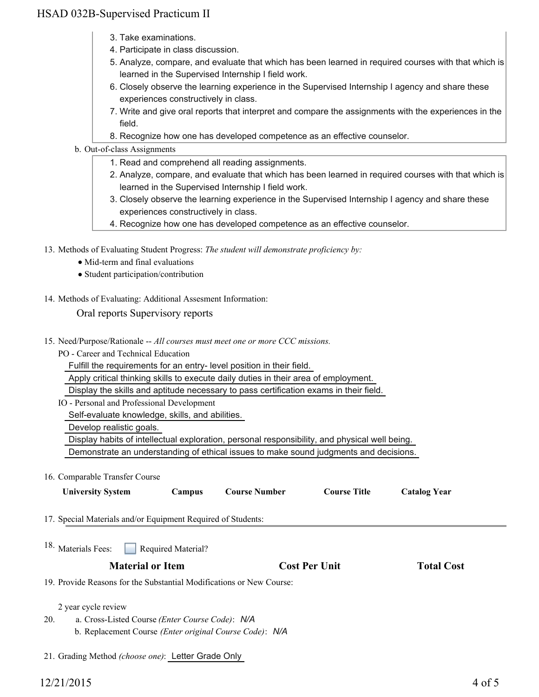- 3. Take examinations.
- 4. Participate in class discussion.
- 5. Analyze, compare, and evaluate that which has been learned in required courses with that which is learned in the Supervised Internship I field work.
- 6. Closely observe the learning experience in the Supervised Internship I agency and share these experiences constructively in class.
- 7. Write and give oral reports that interpret and compare the assignments with the experiences in the field.
- 8. Recognize how one has developed competence as an effective counselor.

#### b. Out-of-class Assignments

- 1. Read and comprehend all reading assignments.
- 2. Analyze, compare, and evaluate that which has been learned in required courses with that which is learned in the Supervised Internship I field work.
- 3. Closely observe the learning experience in the Supervised Internship I agency and share these experiences constructively in class.
- 4. Recognize how one has developed competence as an effective counselor.
- 13. Methods of Evaluating Student Progress: The student will demonstrate proficiency by:
	- Mid-term and final evaluations
	- Student participation/contribution
- 14. Methods of Evaluating: Additional Assesment Information:

### Oral reports Supervisory reports

- 15. Need/Purpose/Rationale -- All courses must meet one or more CCC missions.
	- PO Career and Technical Education

Fulfill the requirements for an entry- level position in their field.

Apply critical thinking skills to execute daily duties in their area of employment.

Display the skills and aptitude necessary to pass certification exams in their field.

IO - Personal and Professional Development

Self-evaluate knowledge, skills, and abilities.

Develop realistic goals.

Display habits of intellectual exploration, personal responsibility, and physical well being.

Demonstrate an understanding of ethical issues to make sound judgments and decisions.

#### 16. Comparable Transfer Course

| <b>University System</b>                                                                                          | Campus                                                                                                                                                                            | <b>Course Number</b> | <b>Course Title</b> | <b>Catalog Year</b> |
|-------------------------------------------------------------------------------------------------------------------|-----------------------------------------------------------------------------------------------------------------------------------------------------------------------------------|----------------------|---------------------|---------------------|
|                                                                                                                   | 17. Special Materials and/or Equipment Required of Students:<br>Required Material?<br><b>Material or Item</b><br><b>Cost Per Unit</b><br><b>Total Cost</b><br>2 year cycle review |                      |                     |                     |
| <sup>18.</sup> Materials Fees:                                                                                    |                                                                                                                                                                                   |                      |                     |                     |
|                                                                                                                   |                                                                                                                                                                                   |                      |                     |                     |
| 19. Provide Reasons for the Substantial Modifications or New Course:                                              |                                                                                                                                                                                   |                      |                     |                     |
| 20.<br>a. Cross-Listed Course (Enter Course Code): N/A<br>b. Replacement Course (Enter original Course Code): N/A |                                                                                                                                                                                   |                      |                     |                     |

21. Grading Method *(choose one)*: Letter Grade Only